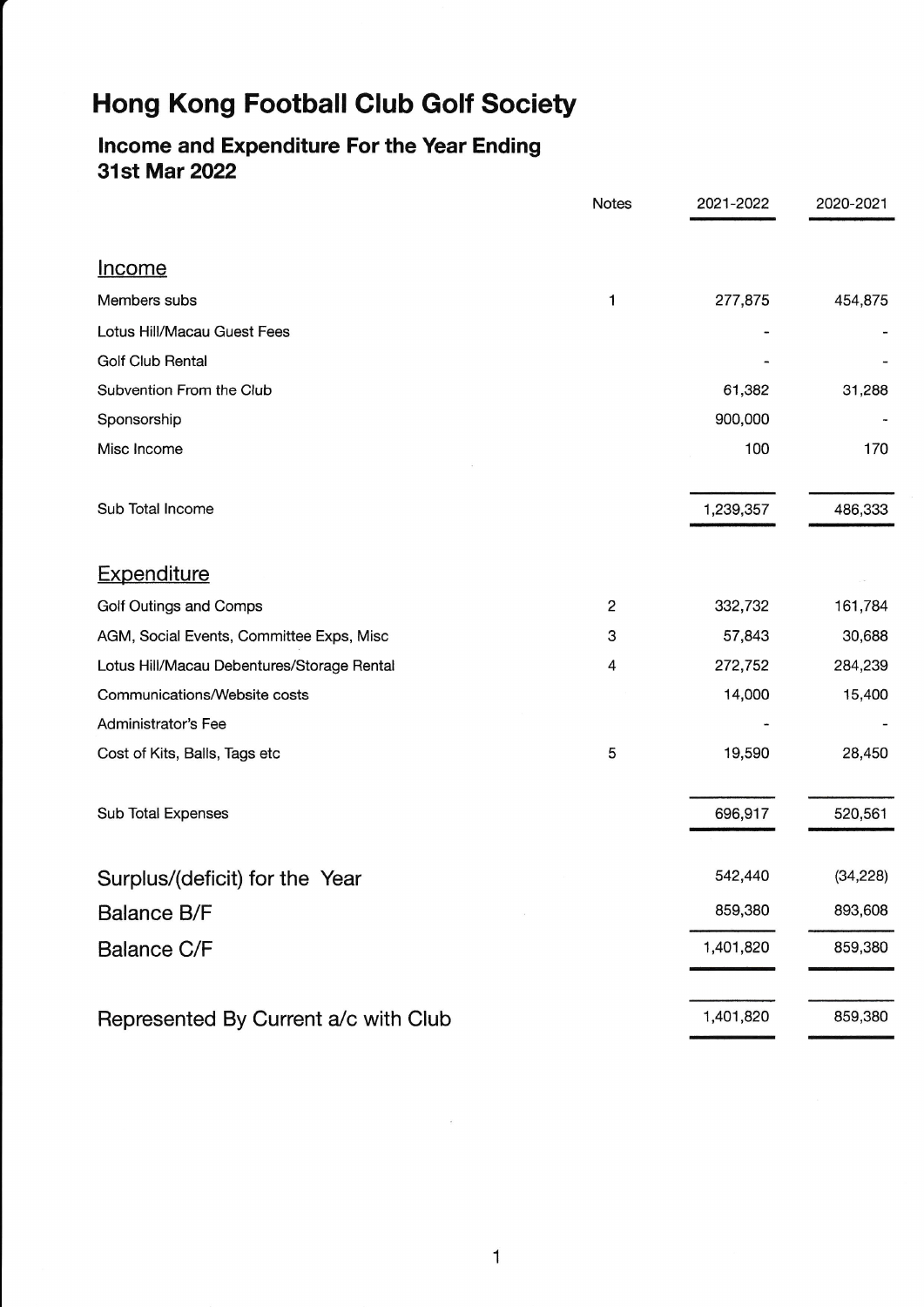# Hong Kong Football Glub Golf Society

# lncome and Expenditure For the Year Ending 31st Mar 2O22

|                                            | <b>Notes</b> | 2021-2022 | 2020-2021 |
|--------------------------------------------|--------------|-----------|-----------|
|                                            |              |           |           |
| <u>Income</u>                              |              |           |           |
| Members subs                               | 1            | 277,875   | 454,875   |
| Lotus Hill/Macau Guest Fees                |              |           |           |
| <b>Golf Club Rental</b>                    |              |           |           |
| Subvention From the Club                   |              | 61,382    | 31,288    |
| Sponsorship                                |              | 900,000   |           |
| Misc Income                                |              | 100       | 170       |
|                                            |              |           |           |
| Sub Total Income                           |              | 1,239,357 | 486,333   |
| <b>Expenditure</b>                         |              |           |           |
| Golf Outings and Comps                     | 2            | 332,732   | 161,784   |
| AGM, Social Events, Committee Exps, Misc   | 3            | 57,843    | 30,688    |
| Lotus Hill/Macau Debentures/Storage Rental | 4            | 272,752   | 284,239   |
| Communications/Website costs               |              | 14,000    | 15,400    |
| Administrator's Fee                        |              |           |           |
| Cost of Kits, Balls, Tags etc              | 5            | 19,590    | 28,450    |
| Sub Total Expenses                         |              | 696,917   | 520,561   |
| Surplus/(deficit) for the Year             |              | 542,440   | (34, 228) |
|                                            |              | 859,380   | 893,608   |
| <b>Balance B/F</b>                         |              |           |           |
| <b>Balance C/F</b>                         |              | 1,401,820 | 859,380   |
| Represented By Current a/c with Club       |              | 1,401,820 | 859,380   |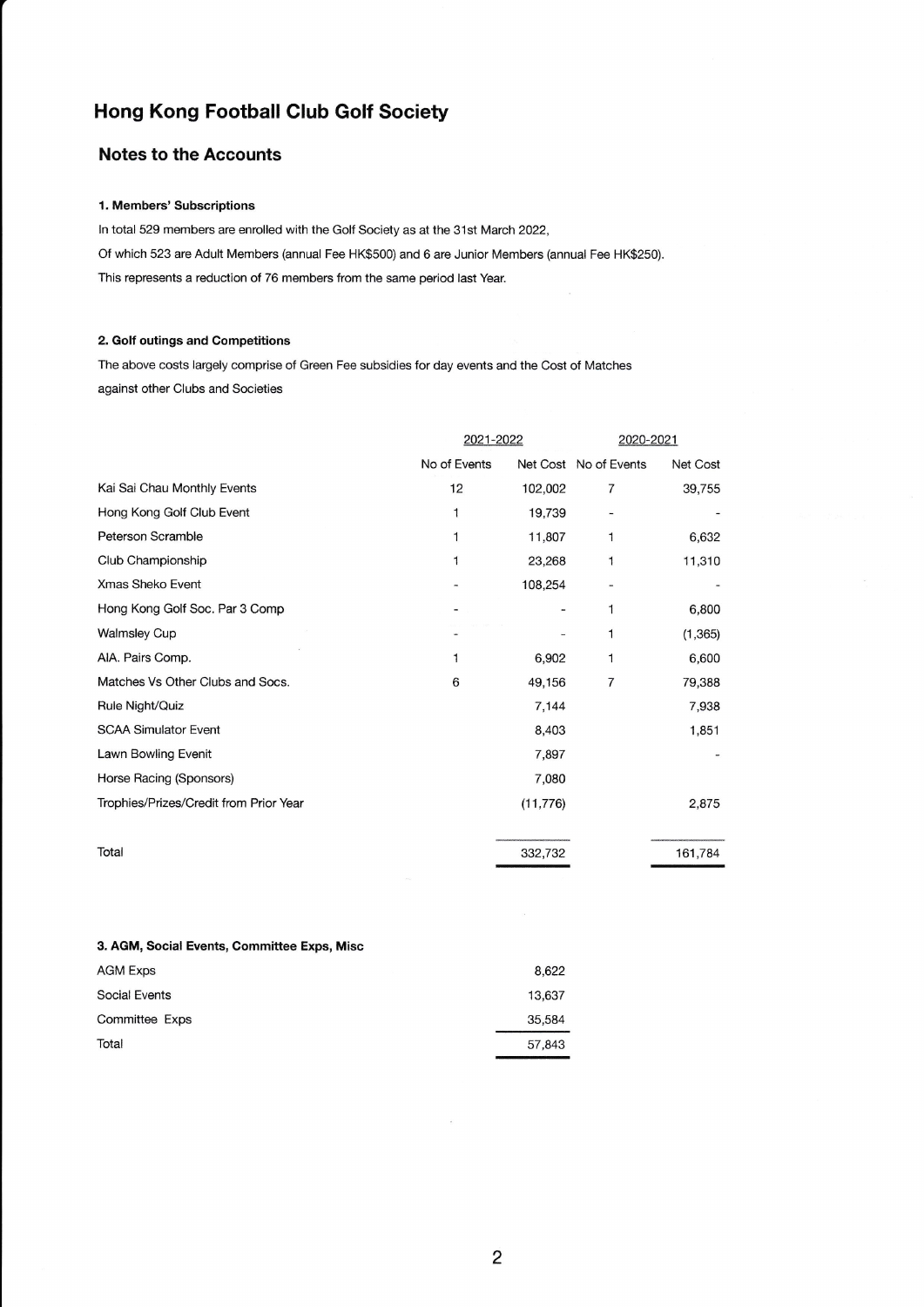# Hong Kong Football Club Golf Society

## Notes to the Accounts

#### 1. Members' Subscriptions

ln total 529 members are enrolled with the Golf Society as at the 31st March 2022, Of which 523 are Adult Members (annual Fee HK\$500) and 6 are Junior Members (annual Fee HK\$250). This represents a reduction of 76 members from the same period last Year.

### 2. Golf outings and Competitions

The above costs largely comprise of Green Fee subsidies for day events and the Cost of Matches against other Clubs and Societies

|                                        | 2021-2022    |           | 2020-2021             |          |
|----------------------------------------|--------------|-----------|-----------------------|----------|
|                                        | No of Events |           | Net Cost No of Events | Net Cost |
| Kai Sai Chau Monthly Events            | 12           | 102,002   | 7                     | 39,755   |
| Hong Kong Golf Club Event              | 1            | 19,739    |                       |          |
| Peterson Scramble                      | 1            | 11,807    | 1                     | 6,632    |
| Club Championship                      | 1            | 23,268    | $\mathbf{1}$          | 11,310   |
| Xmas Sheko Event                       |              | 108,254   |                       |          |
| Hong Kong Golf Soc. Par 3 Comp         |              |           | 1                     | 6,800    |
| <b>Walmsley Cup</b>                    |              |           | 1                     | (1, 365) |
| AIA. Pairs Comp.                       | 1            | 6,902     | 1                     | 6,600    |
| Matches Vs Other Clubs and Socs.       | 6            | 49,156    | 7                     | 79,388   |
| Rule Night/Quiz                        |              | 7,144     |                       | 7,938    |
| <b>SCAA Simulator Event</b>            |              | 8,403     |                       | 1,851    |
| Lawn Bowling Evenit                    |              | 7,897     |                       |          |
| Horse Racing (Sponsors)                |              | 7,080     |                       |          |
| Trophies/Prizes/Credit from Prior Year |              | (11, 776) |                       | 2,875    |
| Total                                  |              |           |                       |          |
|                                        |              | 332,732   |                       | 161,784  |

#### 3. AGM, Social Events, Committee Exps, Misc

| AGM Exps       | 8.622  |
|----------------|--------|
| Social Events  | 13.637 |
| Committee Exps | 35,584 |
| Total          | 57,843 |